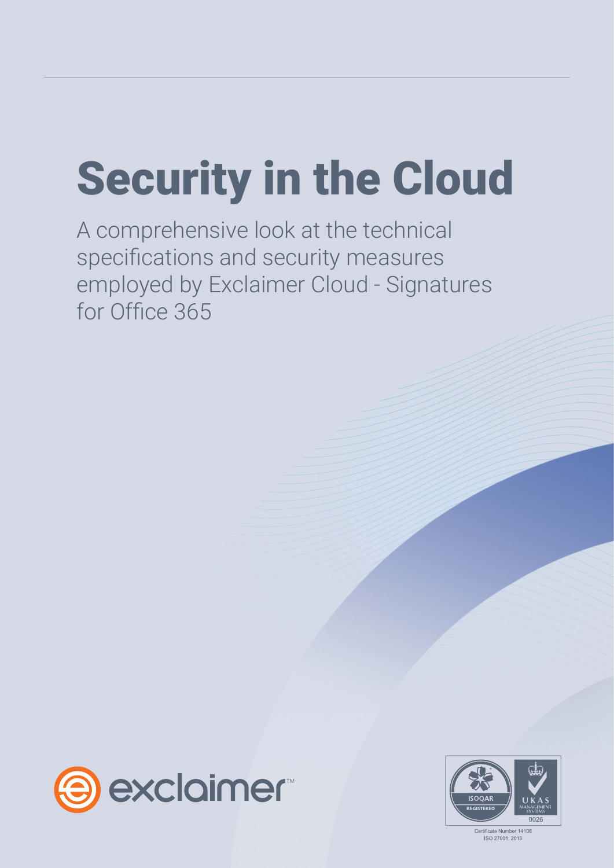# Security in the Cloud

A comprehensive look at the technical specifications and security measures employed by Exclaimer Cloud - Signatures for Office 365



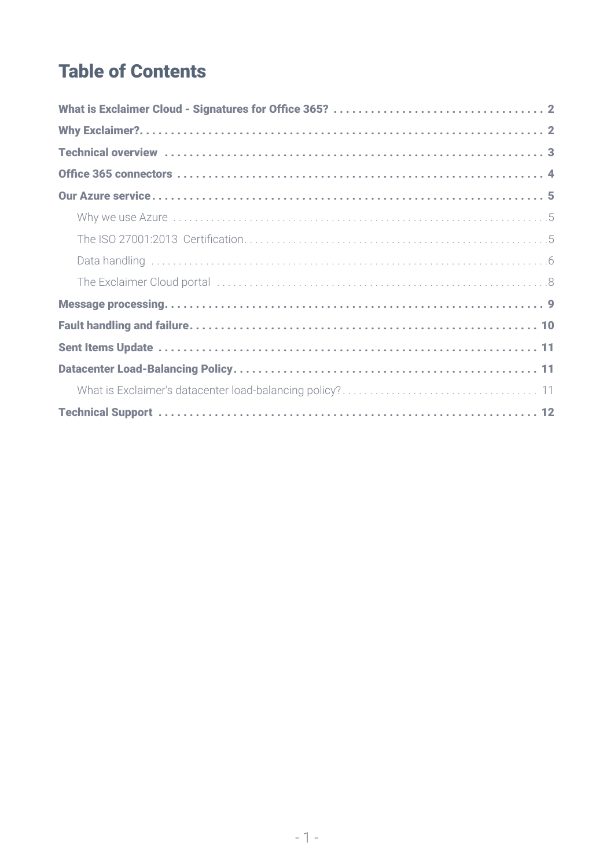#### **Table of Contents**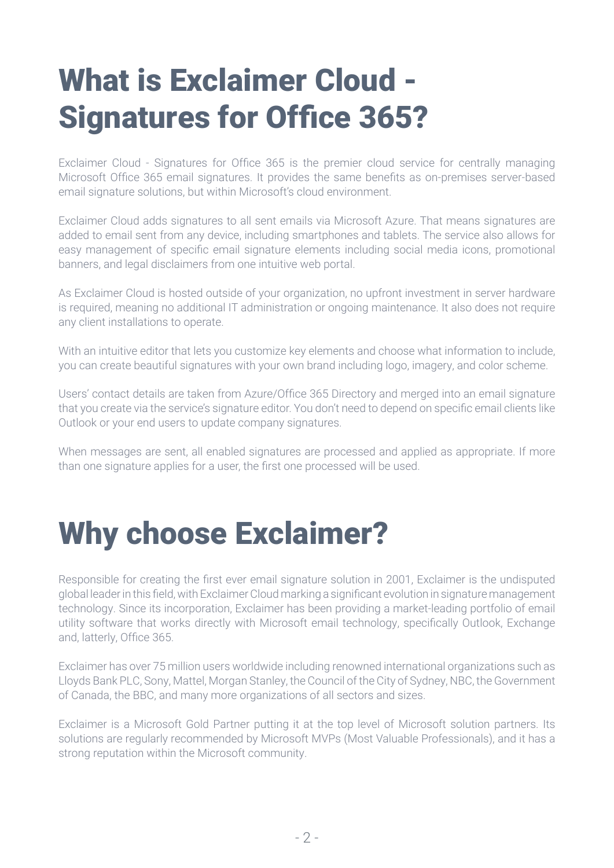# <span id="page-2-0"></span>What is Exclaimer Cloud - Signatures for Office 365?

Exclaimer Cloud - Signatures for Office 365 is the premier cloud service for centrally managing Microsoft Office 365 email signatures. It provides the same benefits as on-premises server-based email signature solutions, but within Microsoft's cloud environment.

Exclaimer Cloud adds signatures to all sent emails via Microsoft Azure. That means signatures are added to email sent from any device, including smartphones and tablets. The service also allows for easy management of specific email signature elements including social media icons, promotional banners, and legal disclaimers from one intuitive web portal.

As Exclaimer Cloud is hosted outside of your organization, no upfront investment in server hardware is required, meaning no additional IT administration or ongoing maintenance. It also does not require any client installations to operate.

With an intuitive editor that lets you customize key elements and choose what information to include, you can create beautiful signatures with your own brand including logo, imagery, and color scheme.

Users' contact details are taken from Azure/Office 365 Directory and merged into an email signature that you create via the service's signature editor. You don't need to depend on specific email clients like Outlook or your end users to update company signatures.

When messages are sent, all enabled signatures are processed and applied as appropriate. If more than one signature applies for a user, the first one processed will be used.

### Why choose Exclaimer?

Responsible for creating the first ever email signature solution in 2001, Exclaimer is the undisputed global leader in this field, with Exclaimer Cloud marking a significant evolution in signature management technology. Since its incorporation, Exclaimer has been providing a market-leading portfolio of email utility software that works directly with Microsoft email technology, specifically Outlook, Exchange and, latterly, Office 365.

Exclaimer has over 75 million users worldwide including renowned international organizations such as Lloyds Bank PLC, Sony, Mattel, Morgan Stanley, the Council of the City of Sydney, NBC, the Government of Canada, the BBC, and many more organizations of all sectors and sizes.

Exclaimer is a Microsoft Gold Partner putting it at the top level of Microsoft solution partners. Its solutions are regularly recommended by Microsoft MVPs (Most Valuable Professionals), and it has a strong reputation within the Microsoft community.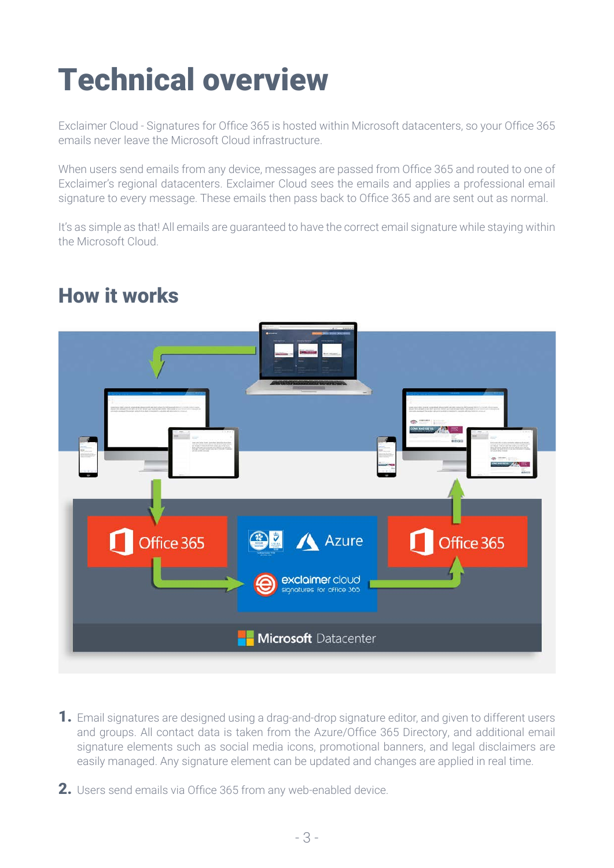# <span id="page-3-0"></span>Technical overview

Exclaimer Cloud - Signatures for Office 365 is hosted within Microsoft datacenters, so your Office 365 emails never leave the Microsoft Cloud infrastructure.

When users send emails from any device, messages are passed from Office 365 and routed to one of Exclaimer's regional datacenters. Exclaimer Cloud sees the emails and applies a professional email signature to every message. These emails then pass back to Office 365 and are sent out as normal.

It's as simple as that! All emails are guaranteed to have the correct email signature while staying within the Microsoft Cloud.



#### How it works

- 1. Email signatures are designed using a drag-and-drop signature editor, and given to different users and groups. All contact data is taken from the Azure/Office 365 Directory, and additional email signature elements such as social media icons, promotional banners, and legal disclaimers are easily managed. Any signature element can be updated and changes are applied in real time.
- 2. Users send emails via Office 365 from any web-enabled device.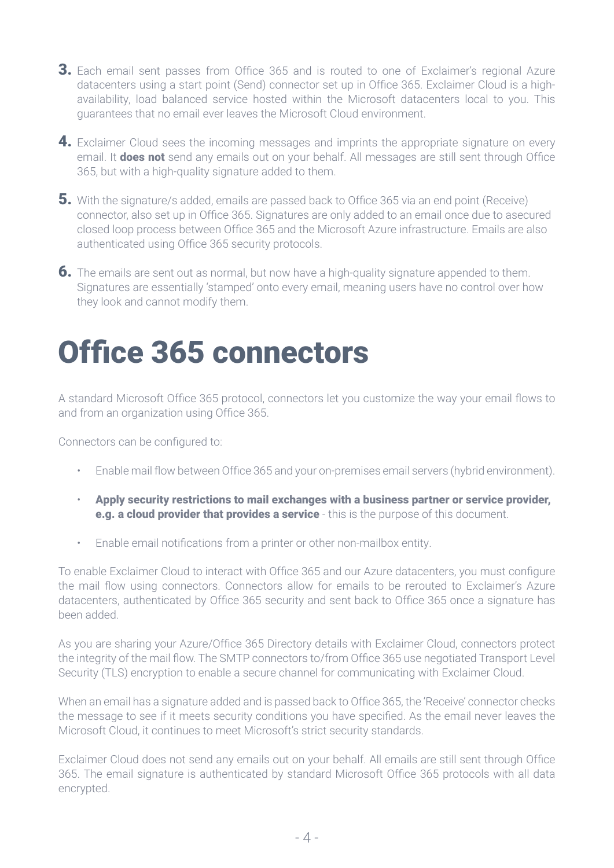- <span id="page-4-0"></span>**3.** Each email sent passes from Office 365 and is routed to one of Exclaimer's regional Azure datacenters using a start point (Send) connector set up in Office 365. Exclaimer Cloud is a highavailability, load balanced service hosted within the Microsoft datacenters local to you. This guarantees that no email ever leaves the Microsoft Cloud environment.
- 4. Exclaimer Cloud sees the incoming messages and imprints the appropriate signature on every email. It **does not** send any emails out on your behalf. All messages are still sent through Office 365, but with a high-quality signature added to them.
- 5. With the signature/s added, emails are passed back to Office 365 via an end point (Receive) connector, also set up in Office 365. Signatures are only added to an email once due to asecured closed loop process between Office 365 and the Microsoft Azure infrastructure. Emails are also authenticated using Office 365 security protocols.
- **6.** The emails are sent out as normal, but now have a high-quality signature appended to them. Signatures are essentially 'stamped' onto every email, meaning users have no control over how they look and cannot modify them.

# Office 365 connectors

A standard Microsoft Office 365 protocol, connectors let you customize the way your email flows to and from an organization using Office 365.

Connectors can be configured to:

- Enable mail flow between Office 365 and your on-premises email servers (hybrid environment).
- Apply security restrictions to mail exchanges with a business partner or service provider, e.g. a cloud provider that provides a service - this is the purpose of this document.
- Enable email notifications from a printer or other non-mailbox entity.

To enable Exclaimer Cloud to interact with Office 365 and our Azure datacenters, you must configure the mail flow using connectors. Connectors allow for emails to be rerouted to Exclaimer's Azure datacenters, authenticated by Office 365 security and sent back to Office 365 once a signature has been added.

As you are sharing your Azure/Office 365 Directory details with Exclaimer Cloud, connectors protect the integrity of the mail flow. The SMTP connectors to/from Office 365 use negotiated Transport Level Security (TLS) encryption to enable a secure channel for communicating with Exclaimer Cloud.

When an email has a signature added and is passed back to Office 365, the 'Receive' connector checks the message to see if it meets security conditions you have specified. As the email never leaves the Microsoft Cloud, it continues to meet Microsoft's strict security standards.

Exclaimer Cloud does not send any emails out on your behalf. All emails are still sent through Office 365. The email signature is authenticated by standard Microsoft Office 365 protocols with all data encrypted.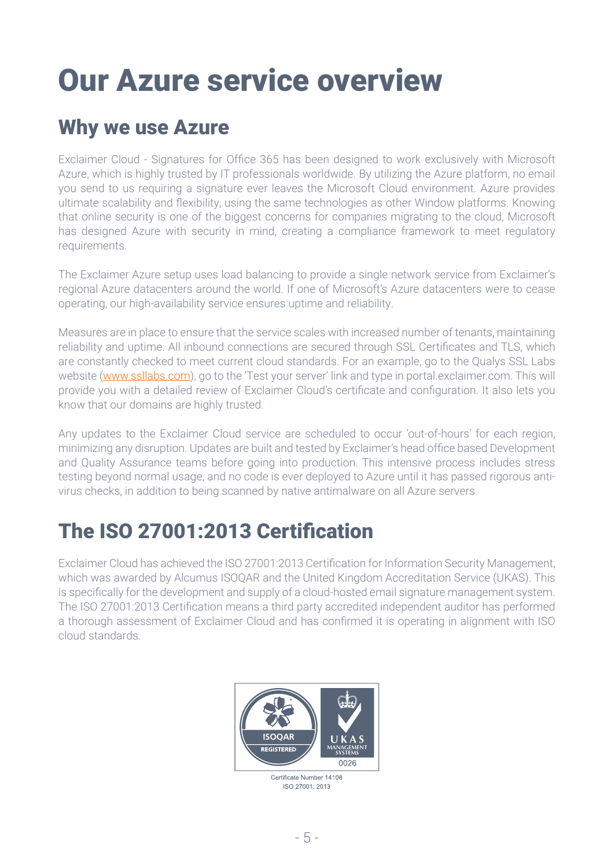# <span id="page-5-0"></span>Our Azure service overview

#### Why we use Azure

Exclaimer Cloud - Signatures for Office 365 has been designed to work exclusively with Microsoft Azure, which is highly trusted by IT professionals worldwide. By utilizing the Azure platform, no email you send to us requiring a signature ever leaves the Microsoft Cloud environment. Azure provides ultimate scalability and flexibility, using the same technologies as other Window platforms. Knowing that online security is one of the biggest concerns for companies migrating to the cloud, Microsoft has designed Azure with security in mind, creating a compliance framework to meet regulatory requirements.

The Exclaimer Azure setup uses load balancing to provide a single network service from Exclaimer's regional Azure datacenters around the world. If one of Microsoft's Azure datacenters were to cease operating, our high-availability service ensures uptime and reliability.

Measures are in place to ensure that the service scales with increased number of tenants, maintaining reliability and uptime. All inbound connections are secured through SSL Certificates and TLS, which are constantly checked to meet current cloud standards. For an example, go to the Qualys SSL Labs website ([www.ssllabs.com\)](https://www.ssllabs.com/), go to the 'Test your server' link and type in portal.exclaimer.com. This will provide you with a detailed review of Exclaimer Cloud's certificate and configuration. It also lets you know that our domains are highly trusted.

Any updates to the Exclaimer Cloud service are scheduled to occur 'out-of-hours' for each region, minimizing any disruption. Updates are built and tested by Exclaimer's head office based Development and Quality Assurance teams before going into production. This intensive process includes stress testing beyond normal usage, and no code is ever deployed to Azure until it has passed rigorous antivirus checks, in addition to being scanned by native antimalware on all Azure servers.

#### The ISO 27001:2013 Certification

Exclaimer Cloud has achieved the ISO 27001:2013 Certification for Information Security Management, which was awarded by Alcumus ISOQAR and the United Kingdom Accreditation Service (UKAS). This is specifically for the development and supply of a cloud-hosted email signature management system. The ISO 27001:2013 Certification means a third party accredited independent auditor has performed a thorough assessment of Exclaimer Cloud and has confirmed it is operating in alignment with ISO cloud standards.



Certificate Number 14108 ISO 27001: 2013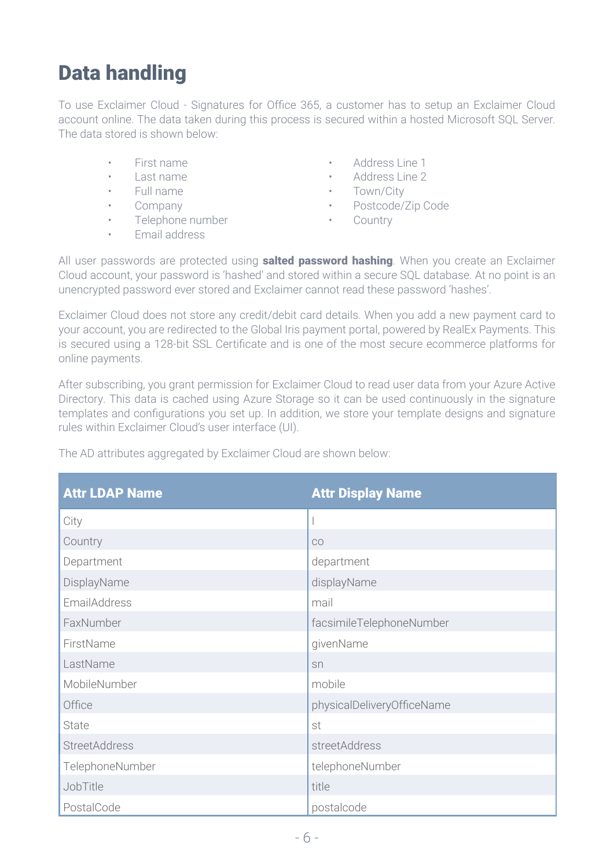#### <span id="page-6-0"></span>Data handling

To use Exclaimer Cloud - Signatures for Office 365, a customer has to setup an Exclaimer Cloud account online. The data taken during this process is secured within a hosted Microsoft SQL Server. The data stored is shown below:

- 
- 
- 
- 
- Telephone number Country
- Email address
- First name Address Line 1
- Last name Address Line 2
- Full name **•** Town/City
	- Company Postcode/Zip Code
		-

All user passwords are protected using **salted password hashing**. When you create an Exclaimer Cloud account, your password is 'hashed' and stored within a secure SQL database. At no point is an unencrypted password ever stored and Exclaimer cannot read these password 'hashes'.

Exclaimer Cloud does not store any credit/debit card details. When you add a new payment card to your account, you are redirected to the Global Iris payment portal, powered by RealEx Payments. This is secured using a 128-bit SSL Certificate and is one of the most secure ecommerce platforms for online payments.

After subscribing, you grant permission for Exclaimer Cloud to read user data from your Azure Active Directory. This data is cached using Azure Storage so it can be used continuously in the signature templates and configurations you set up. In addition, we store your template designs and signature rules within Exclaimer Cloud's user interface (UI).

| <b>Attr LDAP Name</b> | <b>Attr Display Name</b>   |  |
|-----------------------|----------------------------|--|
| City                  |                            |  |
| Country               | CO                         |  |
| Department            | department                 |  |
| DisplayName           | displayName                |  |
| EmailAddress          | mail                       |  |
| FaxNumber             | facsimileTelephoneNumber   |  |
| FirstName             | givenName                  |  |
| LastName              | sn                         |  |
| MobileNumber          | mobile                     |  |
| Office                | physicalDeliveryOfficeName |  |
| State                 | st                         |  |
| <b>StreetAddress</b>  | streetAddress              |  |
| TelephoneNumber       | telephoneNumber            |  |
| JobTitle              | title                      |  |
| PostalCode            | postalcode                 |  |

The AD attributes aggregated by Exclaimer Cloud are shown below: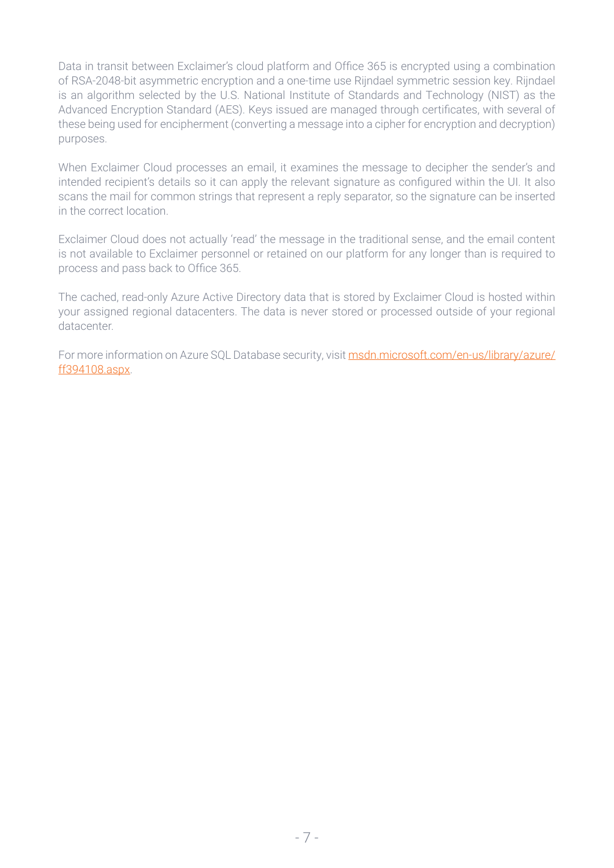Data in transit between Exclaimer's cloud platform and Office 365 is encrypted using a combination of RSA-2048-bit asymmetric encryption and a one-time use Rijndael symmetric session key. Rijndael is an algorithm selected by the U.S. National Institute of Standards and Technology (NIST) as the Advanced Encryption Standard (AES). Keys issued are managed through certificates, with several of these being used for encipherment (converting a message into a cipher for encryption and decryption) purposes.

When Exclaimer Cloud processes an email, it examines the message to decipher the sender's and intended recipient's details so it can apply the relevant signature as configured within the UI. It also scans the mail for common strings that represent a reply separator, so the signature can be inserted in the correct location.

Exclaimer Cloud does not actually 'read' the message in the traditional sense, and the email content is not available to Exclaimer personnel or retained on our platform for any longer than is required to process and pass back to Office 365.

The cached, read-only Azure Active Directory data that is stored by Exclaimer Cloud is hosted within your assigned regional datacenters. The data is never stored or processed outside of your regional datacenter.

For more information on Azure SQL Database security, visit [msdn.microsoft.com/en-us/library/azure/](https://msdn.microsoft.com/en-us/library/azure/ff394108.aspx) [ff394108.aspx](https://msdn.microsoft.com/en-us/library/azure/ff394108.aspx).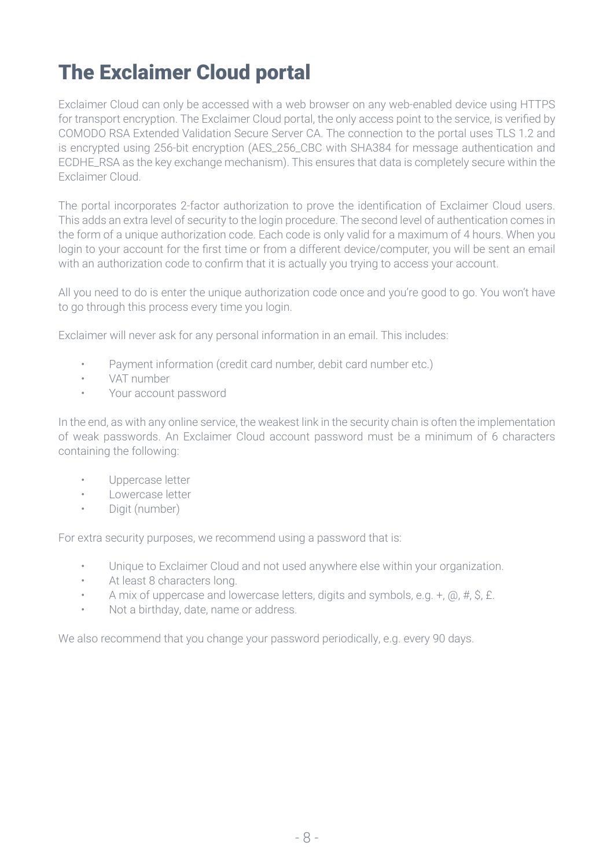#### <span id="page-8-0"></span>The Exclaimer Cloud portal

Exclaimer Cloud can only be accessed with a web browser on any web-enabled device using HTTPS for transport encryption. The Exclaimer Cloud portal, the only access point to the service, is verified by COMODO RSA Extended Validation Secure Server CA. The connection to the portal uses TLS 1.2 and is encrypted using 256-bit encryption (AES\_256\_CBC with SHA384 for message authentication and ECDHE\_RSA as the key exchange mechanism). This ensures that data is completely secure within the Exclaimer Cloud.

The portal incorporates 2-factor authorization to prove the identification of Exclaimer Cloud users. This adds an extra level of security to the login procedure. The second level of authentication comes in the form of a unique authorization code. Each code is only valid for a maximum of 4 hours. When you login to your account for the first time or from a different device/computer, you will be sent an email with an authorization code to confirm that it is actually you trying to access your account.

All you need to do is enter the unique authorization code once and you're good to go. You won't have to go through this process every time you login.

Exclaimer will never ask for any personal information in an email. This includes:

- Payment information (credit card number, debit card number etc.)
- VAT number
- Your account password

In the end, as with any online service, the weakest link in the security chain is often the implementation of weak passwords. An Exclaimer Cloud account password must be a minimum of 6 characters containing the following:

- Uppercase letter
- Lowercase letter
- Digit (number)

For extra security purposes, we recommend using a password that is:

- Unique to Exclaimer Cloud and not used anywhere else within your organization.
- At least 8 characters long.
- A mix of uppercase and lowercase letters, digits and symbols, e.g. +, @, #, \$, £.
- Not a birthday, date, name or address.

We also recommend that you change your password periodically, e.g. every 90 days.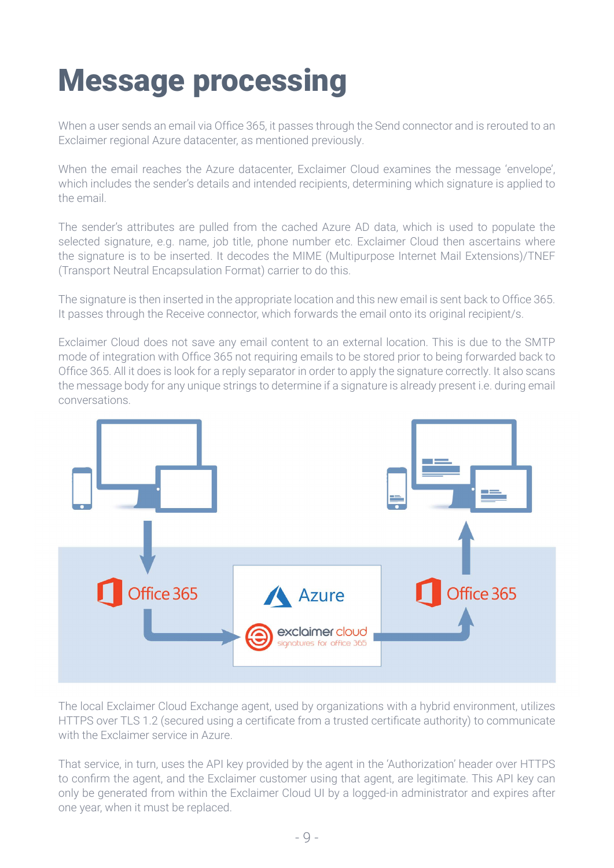# <span id="page-9-0"></span>Message processing

When a user sends an email via Office 365, it passes through the Send connector and is rerouted to an Exclaimer regional Azure datacenter, as mentioned previously.

When the email reaches the Azure datacenter, Exclaimer Cloud examines the message 'envelope', which includes the sender's details and intended recipients, determining which signature is applied to the email.

The sender's attributes are pulled from the cached Azure AD data, which is used to populate the selected signature, e.g. name, job title, phone number etc. Exclaimer Cloud then ascertains where the signature is to be inserted. It decodes the MIME (Multipurpose Internet Mail Extensions)/TNEF (Transport Neutral Encapsulation Format) carrier to do this.

The signature is then inserted in the appropriate location and this new email is sent back to Office 365. It passes through the Receive connector, which forwards the email onto its original recipient/s.

Exclaimer Cloud does not save any email content to an external location. This is due to the SMTP mode of integration with Office 365 not requiring emails to be stored prior to being forwarded back to Office 365. All it does is look for a reply separator in order to apply the signature correctly. It also scans the message body for any unique strings to determine if a signature is already present i.e. during email conversations.



The local Exclaimer Cloud Exchange agent, used by organizations with a hybrid environment, utilizes HTTPS over TLS 1.2 (secured using a certificate from a trusted certificate authority) to communicate with the Exclaimer service in Azure.

That service, in turn, uses the API key provided by the agent in the 'Authorization' header over HTTPS to confirm the agent, and the Exclaimer customer using that agent, are legitimate. This API key can only be generated from within the Exclaimer Cloud UI by a logged-in administrator and expires after one year, when it must be replaced.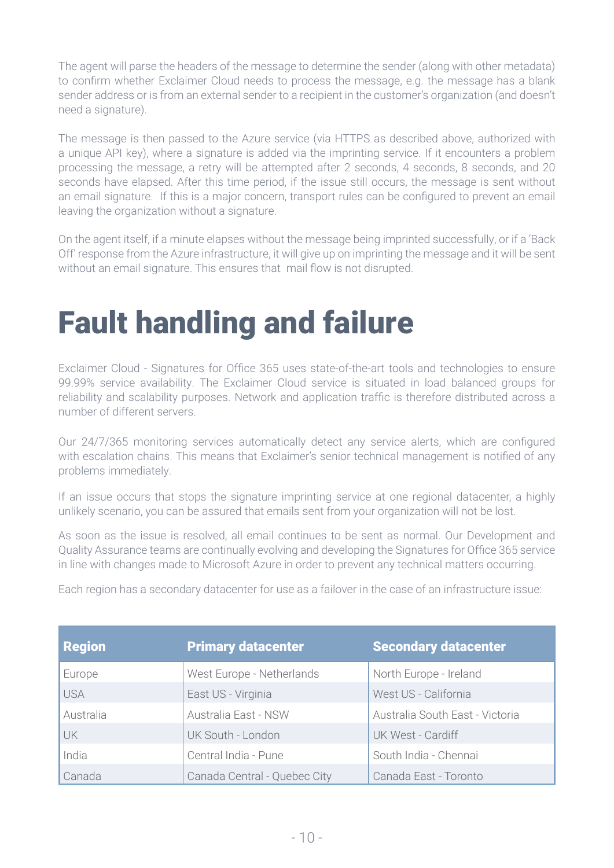<span id="page-10-0"></span>The agent will parse the headers of the message to determine the sender (along with other metadata) to confirm whether Exclaimer Cloud needs to process the message, e.g. the message has a blank sender address or is from an external sender to a recipient in the customer's organization (and doesn't need a signature).

The message is then passed to the Azure service (via HTTPS as described above, authorized with a unique API key), where a signature is added via the imprinting service. If it encounters a problem processing the message, a retry will be attempted after 2 seconds, 4 seconds, 8 seconds, and 20 seconds have elapsed. After this time period, if the issue still occurs, the message is sent without an email signature. If this is a major concern, transport rules can be configured to prevent an email leaving the organization without a signature.

On the agent itself, if a minute elapses without the message being imprinted successfully, or if a 'Back Off' response from the Azure infrastructure, it will give up on imprinting the message and it will be sent without an email signature. This ensures that mail flow is not disrupted.

# Fault handling and failure

Exclaimer Cloud - Signatures for Office 365 uses state-of-the-art tools and technologies to ensure 99.99% service availability. The Exclaimer Cloud service is situated in load balanced groups for reliability and scalability purposes. Network and application traffic is therefore distributed across a number of different servers.

Our 24/7/365 monitoring services automatically detect any service alerts, which are configured with escalation chains. This means that Exclaimer's senior technical management is notified of any problems immediately.

If an issue occurs that stops the signature imprinting service at one regional datacenter, a highly unlikely scenario, you can be assured that emails sent from your organization will not be lost.

As soon as the issue is resolved, all email continues to be sent as normal. Our Development and Quality Assurance teams are continually evolving and developing the Signatures for Office 365 service in line with changes made to Microsoft Azure in order to prevent any technical matters occurring.

| <b>Region</b> | <b>Primary datacenter</b>    | <b>Secondary datacenter</b>     |
|---------------|------------------------------|---------------------------------|
| Europe        | West Europe - Netherlands    | North Europe - Ireland          |
| <b>USA</b>    | East US - Virginia           | West US - California            |
| Australia     | Australia East - NSW         | Australia South East - Victoria |
| <b>UK</b>     | UK South - London            | UK West - Cardiff               |
| India         | Central India - Pune         | South India - Chennai           |
| Canada        | Canada Central - Quebec City | Canada East - Toronto           |

Each region has a secondary datacenter for use as a failover in the case of an infrastructure issue: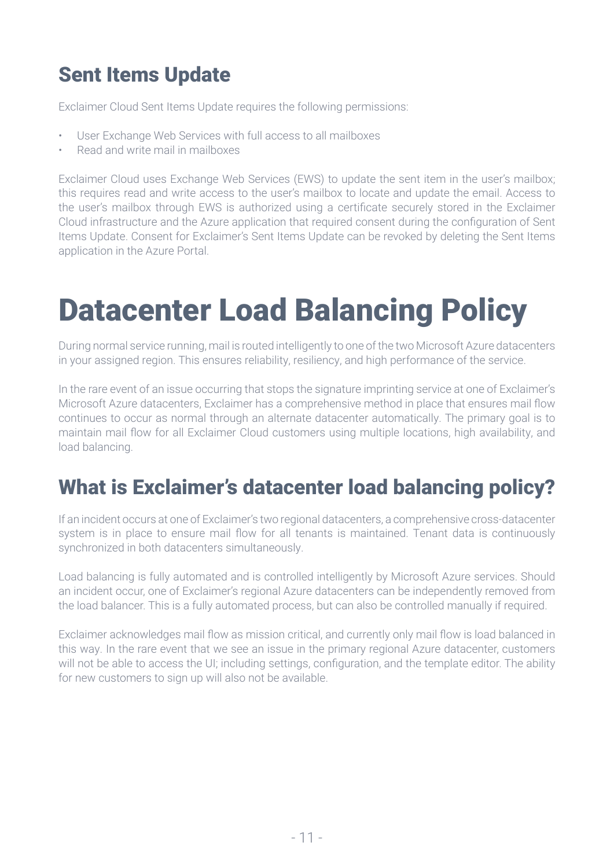#### <span id="page-11-0"></span>Sent Items Update

Exclaimer Cloud Sent Items Update requires the following permissions:

- User Exchange Web Services with full access to all mailboxes
- Read and write mail in mailboxes

Exclaimer Cloud uses Exchange Web Services (EWS) to update the sent item in the user's mailbox; this requires read and write access to the user's mailbox to locate and update the email. Access to the user's mailbox through EWS is authorized using a certificate securely stored in the Exclaimer Cloud infrastructure and the Azure application that required consent during the configuration of Sent Items Update. Consent for Exclaimer's Sent Items Update can be revoked by deleting the Sent Items application in the Azure Portal.

# Datacenter Load Balancing Policy

During normal service running, mail is routed intelligently to one of the two Microsoft Azure datacenters in your assigned region. This ensures reliability, resiliency, and high performance of the service.

In the rare event of an issue occurring that stops the signature imprinting service at one of Exclaimer's Microsoft Azure datacenters, Exclaimer has a comprehensive method in place that ensures mail flow continues to occur as normal through an alternate datacenter automatically. The primary goal is to maintain mail flow for all Exclaimer Cloud customers using multiple locations, high availability, and load balancing.

#### What is Exclaimer's datacenter load balancing policy?

If an incident occurs at one of Exclaimer's two regional datacenters, a comprehensive cross-datacenter system is in place to ensure mail flow for all tenants is maintained. Tenant data is continuously synchronized in both datacenters simultaneously.

Load balancing is fully automated and is controlled intelligently by Microsoft Azure services. Should an incident occur, one of Exclaimer's regional Azure datacenters can be independently removed from the load balancer. This is a fully automated process, but can also be controlled manually if required.

Exclaimer acknowledges mail flow as mission critical, and currently only mail flow is load balanced in this way. In the rare event that we see an issue in the primary regional Azure datacenter, customers will not be able to access the UI; including settings, configuration, and the template editor. The ability for new customers to sign up will also not be available.